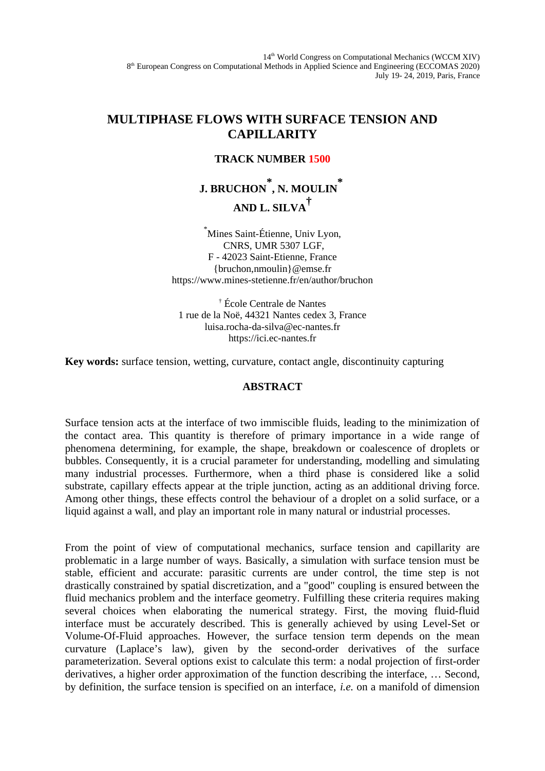14<sup>th</sup> World Congress on Computational Mechanics (WCCM XIV) 8<sup>th</sup> European Congress on Computational Methods in Applied Science and Engineering (ECCOMAS 2020) July 19- 24, 2019, Paris, France

## **MULTIPHASE FLOWS WITH SURFACE TENSION AND CAPILLARITY**

## **TRACK NUMBER 1500**

## **J. BRUCHON \* , N. MOULIN \* AND L. SILVA†**

\*Mines Saint-Étienne, Univ Lyon, CNRS, UMR 5307 LGF, F - 42023 Saint-Etienne, France {bruchon,nmoulin}@emse.fr https://www.mines-stetienne.fr/en/author/bruchon

† École Centrale de Nantes 1 rue de la Noë, 44321 Nantes cedex 3, France luisa.rocha-da-silva@ec-nantes.fr https://ici.ec-nantes.fr

**Key words:** surface tension, wetting, curvature, contact angle, discontinuity capturing

## **ABSTRACT**

Surface tension acts at the interface of two immiscible fluids, leading to the minimization of the contact area. This quantity is therefore of primary importance in a wide range of phenomena determining, for example, the shape, breakdown or coalescence of droplets or bubbles. Consequently, it is a crucial parameter for understanding, modelling and simulating many industrial processes. Furthermore, when a third phase is considered like a solid substrate, capillary effects appear at the triple junction, acting as an additional driving force. Among other things, these effects control the behaviour of a droplet on a solid surface, or a liquid against a wall, and play an important role in many natural or industrial processes.

From the point of view of computational mechanics, surface tension and capillarity are problematic in a large number of ways. Basically, a simulation with surface tension must be stable, efficient and accurate: parasitic currents are under control, the time step is not drastically constrained by spatial discretization, and a "good" coupling is ensured between the fluid mechanics problem and the interface geometry. Fulfilling these criteria requires making several choices when elaborating the numerical strategy. First, the moving fluid-fluid interface must be accurately described. This is generally achieved by using Level-Set or Volume-Of-Fluid approaches. However, the surface tension term depends on the mean curvature (Laplace's law), given by the second-order derivatives of the surface parameterization. Several options exist to calculate this term: a nodal projection of first-order derivatives, a higher order approximation of the function describing the interface, … Second, by definition, the surface tension is specified on an interface, *i.e.* on a manifold of dimension